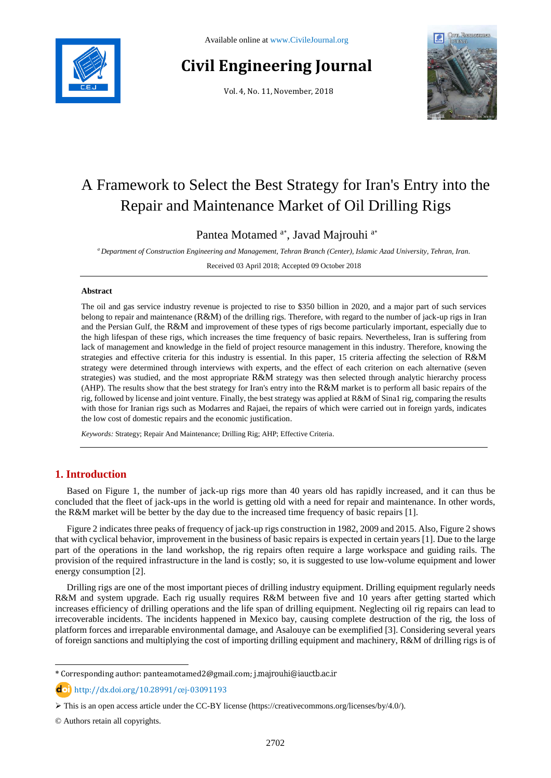

# **Civil Engineering Journal**

Vol. 4, No. 11, November, 2018



# A Framework to Select the Best Strategy for Iran's Entry into the Repair and Maintenance Market of Oil Drilling Rigs

Pantea Motamed <sup>a\*</sup>, Javad Majrouhi<sup>a\*</sup>

*<sup>a</sup> Department of Construction Engineering and Management, Tehran Branch (Center), Islamic Azad University, Tehran, Iran.*

Received 03 April 2018; Accepted 09 October 2018

### **Abstract**

The oil and gas service industry revenue is projected to rise to \$350 billion in 2020, and a major part of such services belong to repair and maintenance (R&M) of the drilling rigs. Therefore, with regard to the number of jack-up rigs in Iran and the Persian Gulf, the R&M and improvement of these types of rigs become particularly important, especially due to the high lifespan of these rigs, which increases the time frequency of basic repairs. Nevertheless, Iran is suffering from lack of management and knowledge in the field of project resource management in this industry. Therefore, knowing the strategies and effective criteria for this industry is essential. In this paper, 15 criteria affecting the selection of R&M strategy were determined through interviews with experts, and the effect of each criterion on each alternative (seven strategies) was studied, and the most appropriate R&M strategy was then selected through analytic hierarchy process (AHP). The results show that the best strategy for Iran's entry into the R&M market is to perform all basic repairs of the rig, followed by license and joint venture. Finally, the best strategy was applied at R&M of Sina1 rig, comparing the results with those for Iranian rigs such as Modarres and Rajaei, the repairs of which were carried out in foreign yards, indicates the low cost of domestic repairs and the economic justification.

*Keywords:* Strategy; Repair And Maintenance; Drilling Rig; AHP; Effective Criteria.

# **1. Introduction**

Based on Figure 1, the number of jack-up rigs more than 40 years old has rapidly increased, and it can thus be concluded that the fleet of jack-ups in the world is getting old with a need for repair and maintenance. In other words, the R&M market will be better by the day due to the increased time frequency of basic repairs [1].

Figure 2 indicates three peaks of frequency of jack-up rigs construction in 1982, 2009 and 2015. Also, Figure 2 shows that with cyclical behavior, improvement in the business of basic repairs is expected in certain years [1]. Due to the large part of the operations in the land workshop, the rig repairs often require a large workspace and guiding rails. The provision of the required infrastructure in the land is costly; so, it is suggested to use low-volume equipment and lower energy consumption [2].

Drilling rigs are one of the most important pieces of drilling industry equipment. Drilling equipment regularly needs R&M and system upgrade. Each rig usually requires R&M between five and 10 years after getting started which increases efficiency of drilling operations and the life span of drilling equipment. Neglecting oil rig repairs can lead to irrecoverable incidents. The incidents happened in Mexico bay, causing complete destruction of the rig, the loss of platform forces and irreparable environmental damage, and Asalouye can be exemplified [3]. Considering several years of foreign sanctions and multiplying the cost of importing drilling equipment and machinery, R&M of drilling rigs is of

l

<sup>\*</sup> Corresponding author: panteamotamed2@gmail.com; j.majrouhi@iauctb.ac.ir

http://dx.doi.org/10.28991/cej-03091193

This is an open access article under the CC-BY license [\(https://creativecommons.org/licenses/by/4.0/\)](https://creativecommons.org/licenses/by/4.0/).

<sup>©</sup> Authors retain all copyrights.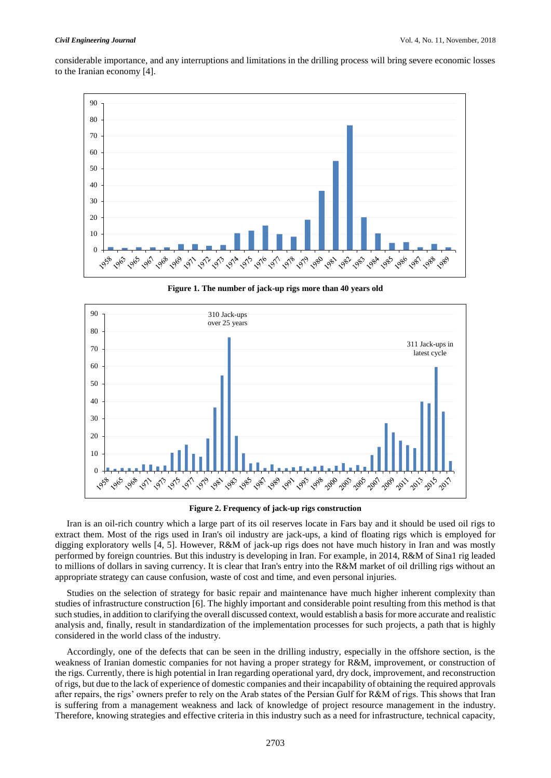considerable importance, and any interruptions and limitations in the drilling process will bring severe economic losses to the Iranian economy [4].



**Figure 1. The number of jack-up rigs more than 40 years old**



**Figure 2. Frequency of jack-up rigs construction**

Iran is an oil-rich country which a large part of its oil reserves locate in Fars bay and it should be used oil rigs to extract them. Most of the rigs used in Iran's oil industry are jack-ups, a kind of floating rigs which is employed for digging exploratory wells [4, 5]. However, R&M of jack-up rigs does not have much history in Iran and was mostly performed by foreign countries. But this industry is developing in Iran. For example, in 2014, R&M of Sina1 rig leaded to millions of dollars in saving currency. It is clear that Iran's entry into the R&M market of oil drilling rigs without an appropriate strategy can cause confusion, waste of cost and time, and even personal injuries.

Studies on the selection of strategy for basic repair and maintenance have much higher inherent complexity than studies of infrastructure construction [6]. The highly important and considerable point resulting from this method is that such studies, in addition to clarifying the overall discussed context, would establish a basis for more accurate and realistic analysis and, finally, result in standardization of the implementation processes for such projects, a path that is highly considered in the world class of the industry.

Accordingly, one of the defects that can be seen in the drilling industry, especially in the offshore section, is the weakness of Iranian domestic companies for not having a proper strategy for R&M, improvement, or construction of the rigs. Currently, there is high potential in Iran regarding operational yard, dry dock, improvement, and reconstruction of rigs, but due to the lack of experience of domestic companies and their incapability of obtaining the required approvals after repairs, the rigs' owners prefer to rely on the Arab states of the Persian Gulf for R&M of rigs. This shows that Iran is suffering from a management weakness and lack of knowledge of project resource management in the industry. Therefore, knowing strategies and effective criteria in this industry such as a need for infrastructure, technical capacity,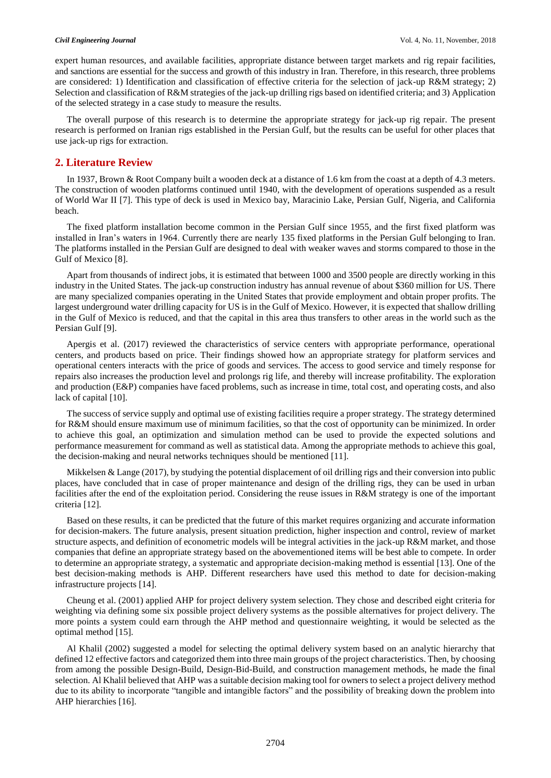expert human resources, and available facilities, appropriate distance between target markets and rig repair facilities, and sanctions are essential for the success and growth of this industry in Iran. Therefore, in this research, three problems are considered: 1) Identification and classification of effective criteria for the selection of jack-up R&M strategy; 2) Selection and classification of R&M strategies of the jack-up drilling rigs based on identified criteria; and 3) Application of the selected strategy in a case study to measure the results.

The overall purpose of this research is to determine the appropriate strategy for jack-up rig repair. The present research is performed on Iranian rigs established in the Persian Gulf, but the results can be useful for other places that use jack-up rigs for extraction.

# **2. Literature Review**

In 1937, Brown & Root Company built a wooden deck at a distance of 1.6 km from the coast at a depth of 4.3 meters. The construction of wooden platforms continued until 1940, with the development of operations suspended as a result of World War II [7]. This type of deck is used in Mexico bay, Maracinio Lake, Persian Gulf, Nigeria, and California beach.

The fixed platform installation become common in the Persian Gulf since 1955, and the first fixed platform was installed in Iran's waters in 1964. Currently there are nearly 135 fixed platforms in the Persian Gulf belonging to Iran. The platforms installed in the Persian Gulf are designed to deal with weaker waves and storms compared to those in the Gulf of Mexico [8].

Apart from thousands of indirect jobs, it is estimated that between 1000 and 3500 people are directly working in this industry in the United States. The jack-up construction industry has annual revenue of about \$360 million for US. There are many specialized companies operating in the United States that provide employment and obtain proper profits. The largest underground water drilling capacity for US is in the Gulf of Mexico. However, it is expected that shallow drilling in the Gulf of Mexico is reduced, and that the capital in this area thus transfers to other areas in the world such as the Persian Gulf [9].

Apergis et al. (2017) reviewed the characteristics of service centers with appropriate performance, operational centers, and products based on price. Their findings showed how an appropriate strategy for platform services and operational centers interacts with the price of goods and services. The access to good service and timely response for repairs also increases the production level and prolongs rig life, and thereby will increase profitability. The exploration and production (E&P) companies have faced problems, such as increase in time, total cost, and operating costs, and also lack of capital [10].

The success of service supply and optimal use of existing facilities require a proper strategy. The strategy determined for R&M should ensure maximum use of minimum facilities, so that the cost of opportunity can be minimized. In order to achieve this goal, an optimization and simulation method can be used to provide the expected solutions and performance measurement for command as well as statistical data. Among the appropriate methods to achieve this goal, the decision-making and neural networks techniques should be mentioned [11].

Mikkelsen & Lange (2017), by studying the potential displacement of oil drilling rigs and their conversion into public places, have concluded that in case of proper maintenance and design of the drilling rigs, they can be used in urban facilities after the end of the exploitation period. Considering the reuse issues in R&M strategy is one of the important criteria [12].

Based on these results, it can be predicted that the future of this market requires organizing and accurate information for decision-makers. The future analysis, present situation prediction, higher inspection and control, review of market structure aspects, and definition of econometric models will be integral activities in the jack-up R&M market, and those companies that define an appropriate strategy based on the abovementioned items will be best able to compete. In order to determine an appropriate strategy, a systematic and appropriate decision-making method is essential [13]. One of the best decision-making methods is AHP. Different researchers have used this method to date for decision-making infrastructure projects [14].

Cheung et al. (2001) applied AHP for project delivery system selection. They chose and described eight criteria for weighting via defining some six possible project delivery systems as the possible alternatives for project delivery. The more points a system could earn through the AHP method and questionnaire weighting, it would be selected as the optimal method [15].

Al Khalil (2002) suggested a model for selecting the optimal delivery system based on an analytic hierarchy that defined 12 effective factors and categorized them into three main groups of the project characteristics. Then, by choosing from among the possible Design-Build, Design-Bid-Build, and construction management methods, he made the final selection. Al Khalil believed that AHP was a suitable decision making tool for owners to select a project delivery method due to its ability to incorporate "tangible and intangible factors" and the possibility of breaking down the problem into AHP hierarchies [16].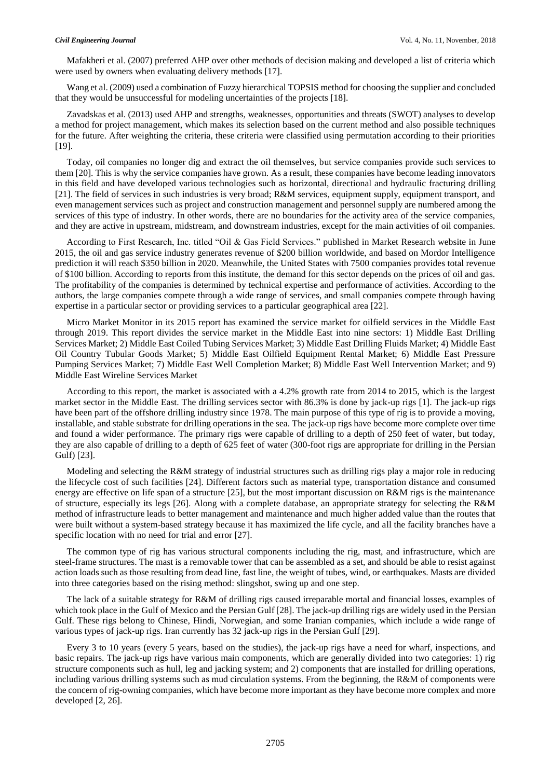Mafakheri et al. (2007) preferred AHP over other methods of decision making and developed a list of criteria which were used by owners when evaluating delivery methods [17].

Wang et al. (2009) used a combination of Fuzzy hierarchical TOPSIS method for choosing the supplier and concluded that they would be unsuccessful for modeling uncertainties of the projects [18].

Zavadskas et al. (2013) used AHP and strengths, weaknesses, opportunities and threats (SWOT) analyses to develop a method for project management, which makes its selection based on the current method and also possible techniques for the future. After weighting the criteria, these criteria were classified using permutation according to their priorities [19].

Today, oil companies no longer dig and extract the oil themselves, but service companies provide such services to them [20]. This is why the service companies have grown. As a result, these companies have become leading innovators in this field and have developed various technologies such as horizontal, directional and hydraulic fracturing drilling [21]. The field of services in such industries is very broad; R&M services, equipment supply, equipment transport, and even management services such as project and construction management and personnel supply are numbered among the services of this type of industry. In other words, there are no boundaries for the activity area of the service companies, and they are active in upstream, midstream, and downstream industries, except for the main activities of oil companies.

According to First Research, Inc. titled "Oil & Gas Field Services." published in Market Research website in June 2015, the oil and gas service industry generates revenue of \$200 billion worldwide, and based on Mordor Intelligence prediction it will reach \$350 billion in 2020. Meanwhile, the United States with 7500 companies provides total revenue of \$100 billion. According to reports from this institute, the demand for this sector depends on the prices of oil and gas. The profitability of the companies is determined by technical expertise and performance of activities. According to the authors, the large companies compete through a wide range of services, and small companies compete through having expertise in a particular sector or providing services to a particular geographical area [22].

Micro Market Monitor in its 2015 report has examined the service market for oilfield services in the Middle East through 2019. This report divides the service market in the Middle East into nine sectors: 1) Middle East Drilling Services Market; 2) Middle East Coiled Tubing Services Market; 3) Middle East Drilling Fluids Market; 4) Middle East Oil Country Tubular Goods Market; 5) Middle East Oilfield Equipment Rental Market; 6) Middle East Pressure Pumping Services Market; 7) Middle East Well Completion Market; 8) Middle East Well Intervention Market; and 9) Middle East Wireline Services Market

According to this report, the market is associated with a 4.2% growth rate from 2014 to 2015, which is the largest market sector in the Middle East. The drilling services sector with 86.3% is done by jack-up rigs [1]. The jack-up rigs have been part of the offshore drilling industry since 1978. The main purpose of this type of rig is to provide a moving, installable, and stable substrate for drilling operations in the sea. The jack-up rigs have become more complete over time and found a wider performance. The primary rigs were capable of drilling to a depth of 250 feet of water, but today, they are also capable of drilling to a depth of 625 feet of water (300-foot rigs are appropriate for drilling in the Persian Gulf) [23].

Modeling and selecting the R&M strategy of industrial structures such as drilling rigs play a major role in reducing the lifecycle cost of such facilities [24]. Different factors such as material type, transportation distance and consumed energy are effective on life span of a structure [25], but the most important discussion on R&M rigs is the maintenance of structure, especially its legs [26]. Along with a complete database, an appropriate strategy for selecting the R&M method of infrastructure leads to better management and maintenance and much higher added value than the routes that were built without a system-based strategy because it has maximized the life cycle, and all the facility branches have a specific location with no need for trial and error [27].

The common type of rig has various structural components including the rig, mast, and infrastructure, which are steel-frame structures. The mast is a removable tower that can be assembled as a set, and should be able to resist against action loads such as those resulting from dead line, fast line, the weight of tubes, wind, or earthquakes. Masts are divided into three categories based on the rising method: slingshot, swing up and one step.

The lack of a suitable strategy for R&M of drilling rigs caused irreparable mortal and financial losses, examples of which took place in the Gulf of Mexico and the Persian Gulf [28]. The jack-up drilling rigs are widely used in the Persian Gulf. These rigs belong to Chinese, Hindi, Norwegian, and some Iranian companies, which include a wide range of various types of jack-up rigs. Iran currently has 32 jack-up rigs in the Persian Gulf [29].

Every 3 to 10 years (every 5 years, based on the studies), the jack-up rigs have a need for wharf, inspections, and basic repairs. The jack-up rigs have various main components, which are generally divided into two categories: 1) rig structure components such as hull, leg and jacking system; and 2) components that are installed for drilling operations, including various drilling systems such as mud circulation systems. From the beginning, the R&M of components were the concern of rig-owning companies, which have become more important as they have become more complex and more developed [2, 26].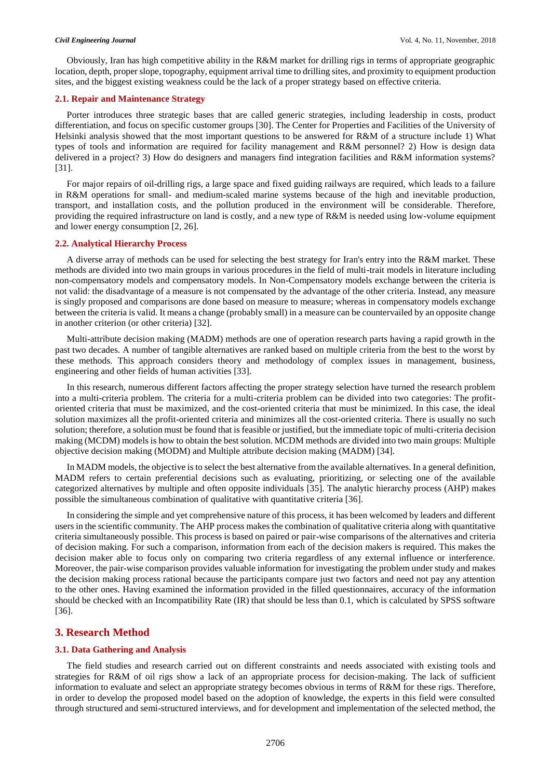Obviously, Iran has high competitive ability in the R&M market for drilling rigs in terms of appropriate geographic location, depth, proper slope, topography, equipment arrival time to drilling sites, and proximity to equipment production sites, and the biggest existing weakness could be the lack of a proper strategy based on effective criteria.

#### **2.1. Repair and Maintenance Strategy**

Porter introduces three strategic bases that are called generic strategies, including leadership in costs, product differentiation, and focus on specific customer groups [30]. The Center for Properties and Facilities of the University of Helsinki analysis showed that the most important questions to be answered for R&M of a structure include 1) What types of tools and information are required for facility management and R&M personnel? 2) How is design data delivered in a project? 3) How do designers and managers find integration facilities and R&M information systems? [31].

For major repairs of oil-drilling rigs, a large space and fixed guiding railways are required, which leads to a failure in R&M operations for small- and medium-scaled marine systems because of the high and inevitable production, transport, and installation costs, and the pollution produced in the environment will be considerable. Therefore, providing the required infrastructure on land is costly, and a new type of R&M is needed using low-volume equipment and lower energy consumption [2, 26].

### **2.2. Analytical Hierarchy Process**

A diverse array of methods can be used for selecting the best strategy for Iran's entry into the R&M market. These methods are divided into two main groups in various procedures in the field of multi-trait models in literature including non-compensatory models and compensatory models. In Non-Compensatory models exchange between the criteria is not valid: the disadvantage of a measure is not compensated by the advantage of the other criteria. Instead, any measure is singly proposed and comparisons are done based on measure to measure; whereas in compensatory models exchange between the criteria is valid. It means a change (probably small) in a measure can be countervailed by an opposite change in another criterion (or other criteria) [32].

Multi-attribute decision making (MADM) methods are one of operation research parts having a rapid growth in the past two decades. A number of tangible alternatives are ranked based on multiple criteria from the best to the worst by these methods. This approach considers theory and methodology of complex issues in management, business, engineering and other fields of human activities [33].

In this research, numerous different factors affecting the proper strategy selection have turned the research problem into a multi-criteria problem. The criteria for a multi-criteria problem can be divided into two categories: The profitoriented criteria that must be maximized, and the cost-oriented criteria that must be minimized. In this case, the ideal solution maximizes all the profit-oriented criteria and minimizes all the cost-oriented criteria. There is usually no such solution; therefore, a solution must be found that is feasible or justified, but the immediate topic of multi-criteria decision making (MCDM) models is how to obtain the best solution. MCDM methods are divided into two main groups: Multiple objective decision making (MODM) and Multiple attribute decision making (MADM) [34].

In MADM models, the objective is to select the best alternative from the available alternatives. In a general definition, MADM refers to certain preferential decisions such as evaluating, prioritizing, or selecting one of the available categorized alternatives by multiple and often opposite individuals [35]. The analytic hierarchy process (AHP) makes possible the simultaneous combination of qualitative with quantitative criteria [36].

In considering the simple and yet comprehensive nature of this process, it has been welcomed by leaders and different users in the scientific community. The AHP process makes the combination of qualitative criteria along with quantitative criteria simultaneously possible. This process is based on paired or pair-wise comparisons of the alternatives and criteria of decision making. For such a comparison, information from each of the decision makers is required. This makes the decision maker able to focus only on comparing two criteria regardless of any external influence or interference. Moreover, the pair-wise comparison provides valuable information for investigating the problem under study and makes the decision making process rational because the participants compare just two factors and need not pay any attention to the other ones. Having examined the information provided in the filled questionnaires, accuracy of the information should be checked with an Incompatibility Rate (IR) that should be less than 0.1, which is calculated by SPSS software [36].

# **3. Research Method**

#### **3.1. Data Gathering and Analysis**

The field studies and research carried out on different constraints and needs associated with existing tools and strategies for R&M of oil rigs show a lack of an appropriate process for decision-making. The lack of sufficient information to evaluate and select an appropriate strategy becomes obvious in terms of R&M for these rigs. Therefore, in order to develop the proposed model based on the adoption of knowledge, the experts in this field were consulted through structured and semi-structured interviews, and for development and implementation of the selected method, the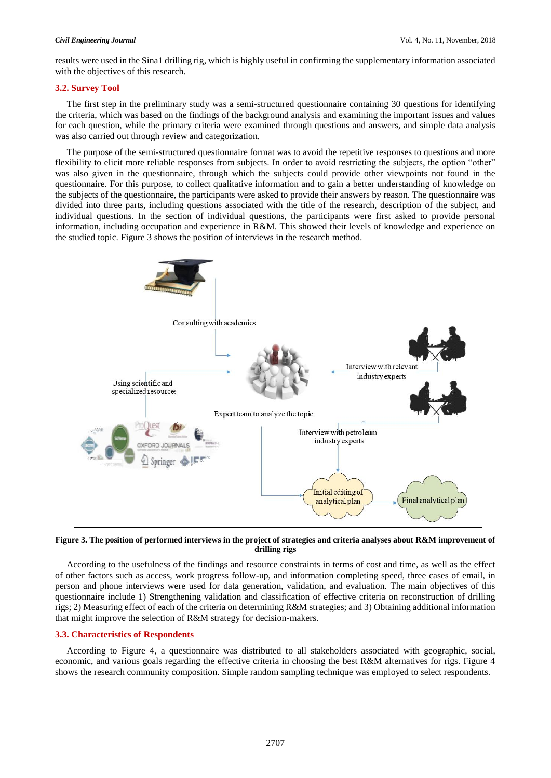results were used in the Sina1 drilling rig, which is highly useful in confirming the supplementary information associated with the objectives of this research.

### **3.2. Survey Tool**

The first step in the preliminary study was a semi-structured questionnaire containing 30 questions for identifying the criteria, which was based on the findings of the background analysis and examining the important issues and values for each question, while the primary criteria were examined through questions and answers, and simple data analysis was also carried out through review and categorization.

The purpose of the semi-structured questionnaire format was to avoid the repetitive responses to questions and more flexibility to elicit more reliable responses from subjects. In order to avoid restricting the subjects, the option "other" was also given in the questionnaire, through which the subjects could provide other viewpoints not found in the questionnaire. For this purpose, to collect qualitative information and to gain a better understanding of knowledge on the subjects of the questionnaire, the participants were asked to provide their answers by reason. The questionnaire was divided into three parts, including questions associated with the title of the research, description of the subject, and individual questions. In the section of individual questions, the participants were first asked to provide personal information, including occupation and experience in R&M. This showed their levels of knowledge and experience on the studied topic. Figure 3 shows the position of interviews in the research method.



**Figure 3. The position of performed interviews in the project of strategies and criteria analyses about R&M improvement of drilling rigs**

According to the usefulness of the findings and resource constraints in terms of cost and time, as well as the effect of other factors such as access, work progress follow-up, and information completing speed, three cases of email, in person and phone interviews were used for data generation, validation, and evaluation. The main objectives of this questionnaire include 1) Strengthening validation and classification of effective criteria on reconstruction of drilling rigs; 2) Measuring effect of each of the criteria on determining R&M strategies; and 3) Obtaining additional information that might improve the selection of R&M strategy for decision-makers.

#### **3.3. Characteristics of Respondents**

According to Figure 4, a questionnaire was distributed to all stakeholders associated with geographic, social, economic, and various goals regarding the effective criteria in choosing the best R&M alternatives for rigs. Figure 4 shows the research community composition. Simple random sampling technique was employed to select respondents.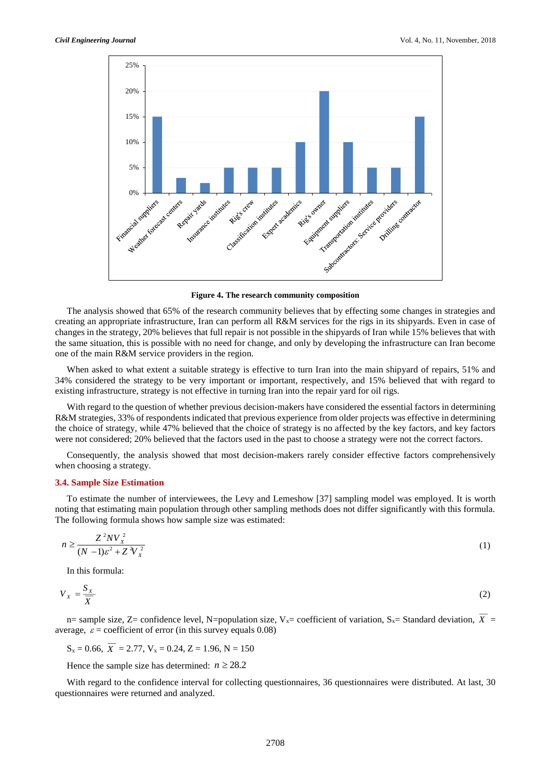

**Figure 4. The research community composition**

The analysis showed that 65% of the research community believes that by effecting some changes in strategies and creating an appropriate infrastructure, Iran can perform all R&M services for the rigs in its shipyards. Even in case of changes in the strategy, 20% believes that full repair is not possible in the shipyards of Iran while 15% believes that with the same situation, this is possible with no need for change, and only by developing the infrastructure can Iran become one of the main R&M service providers in the region.

When asked to what extent a suitable strategy is effective to turn Iran into the main shipyard of repairs, 51% and 34% considered the strategy to be very important or important, respectively, and 15% believed that with regard to existing infrastructure, strategy is not effective in turning Iran into the repair yard for oil rigs.

With regard to the question of whether previous decision-makers have considered the essential factors in determining R&M strategies, 33% of respondents indicated that previous experience from older projects was effective in determining the choice of strategy, while 47% believed that the choice of strategy is no affected by the key factors, and key factors were not considered; 20% believed that the factors used in the past to choose a strategy were not the correct factors.

Consequently, the analysis showed that most decision-makers rarely consider effective factors comprehensively when choosing a strategy.

#### **3.4. Sample Size Estimation**

To estimate the number of interviewees, the Levy and Lemeshow [37] sampling model was employed. It is worth noting that estimating main population through other sampling methods does not differ significantly with this formula. The following formula shows how sample size was estimated:

$$
n \ge \frac{Z^2 N V_X^2}{\left(N - 1\right) \varepsilon^2 + Z^2 V_X^2} \tag{1}
$$

In this formula:

$$
V_x = \frac{S_x}{\overline{X}}
$$
 (2)

n= sample size,  $Z=$  confidence level, N=population size,  $V_x=$  coefficient of variation,  $S_x=$  Standard deviation,  $X=$ average,  $\varepsilon$  = coefficient of error (in this survey equals 0.08)

 $S_x = 0.66$ ,  $X = 2.77$ ,  $V_x = 0.24$ ,  $Z = 1.96$ ,  $N = 150$ 

Hence the sample size has determined:  $n \ge 28.2$ 

With regard to the confidence interval for collecting questionnaires, 36 questionnaires were distributed. At last, 30 questionnaires were returned and analyzed.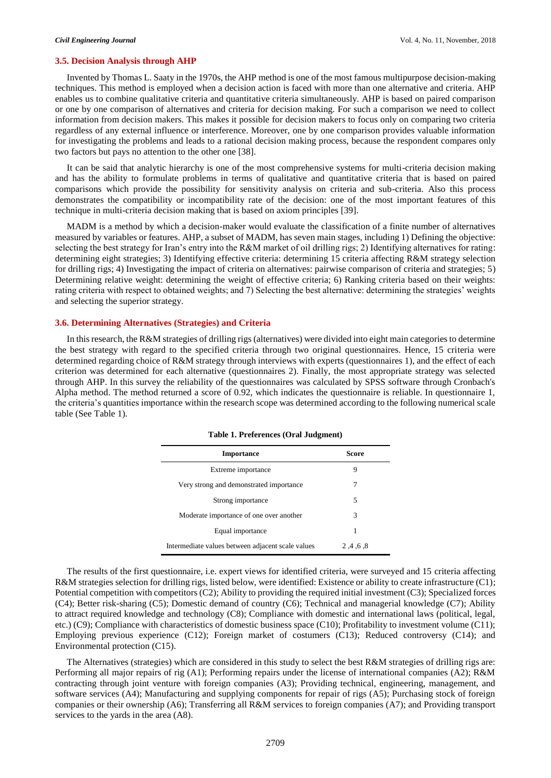# **3.5. Decision Analysis through AHP**

Invented by Thomas L. Saaty in the 1970s, the AHP method is one of the most famous multipurpose decision-making techniques. This method is employed when a decision action is faced with more than one alternative and criteria. AHP enables us to combine qualitative criteria and quantitative criteria simultaneously. AHP is based on paired comparison or one by one comparison of alternatives and criteria for decision making. For such a comparison we need to collect information from decision makers. This makes it possible for decision makers to focus only on comparing two criteria regardless of any external influence or interference. Moreover, one by one comparison provides valuable information for investigating the problems and leads to a rational decision making process, because the respondent compares only two factors but pays no attention to the other one [38].

It can be said that analytic hierarchy is one of the most comprehensive systems for multi-criteria decision making and has the ability to formulate problems in terms of qualitative and quantitative criteria that is based on paired comparisons which provide the possibility for sensitivity analysis on criteria and sub-criteria. Also this process demonstrates the compatibility or incompatibility rate of the decision: one of the most important features of this technique in multi-criteria decision making that is based on axiom principles [39].

MADM is a method by which a decision-maker would evaluate the classification of a finite number of alternatives measured by variables or features. AHP, a subset of MADM, has seven main stages, including 1) Defining the objective: selecting the best strategy for Iran's entry into the R&M market of oil drilling rigs; 2) Identifying alternatives for rating: determining eight strategies; 3) Identifying effective criteria: determining 15 criteria affecting R&M strategy selection for drilling rigs; 4) Investigating the impact of criteria on alternatives: pairwise comparison of criteria and strategies; 5) Determining relative weight: determining the weight of effective criteria; 6) Ranking criteria based on their weights: rating criteria with respect to obtained weights; and 7) Selecting the best alternative: determining the strategies' weights and selecting the superior strategy.

#### **3.6. Determining Alternatives (Strategies) and Criteria**

In this research, the R&M strategies of drilling rigs (alternatives) were divided into eight main categories to determine the best strategy with regard to the specified criteria through two original questionnaires. Hence, 15 criteria were determined regarding choice of R&M strategy through interviews with experts (questionnaires 1), and the effect of each criterion was determined for each alternative (questionnaires 2). Finally, the most appropriate strategy was selected through AHP. In this survey the reliability of the questionnaires was calculated by SPSS software through Cronbach's Alpha method. The method returned a score of 0.92, which indicates the questionnaire is reliable. In questionnaire 1, the criteria's quantities importance within the research scope was determined according to the following numerical scale table (See Table 1).

| <b>Importance</b>                                 | Score      |  |  |
|---------------------------------------------------|------------|--|--|
| Extreme importance                                | 9          |  |  |
| Very strong and demonstrated importance           |            |  |  |
| Strong importance                                 | 5          |  |  |
| Moderate importance of one over another           | 3          |  |  |
| Equal importance                                  | 1          |  |  |
| Intermediate values between adjacent scale values | 2, 4, 6, 8 |  |  |

#### **Table 1. Preferences (Oral Judgment)**

The results of the first questionnaire, i.e. expert views for identified criteria, were surveyed and 15 criteria affecting R&M strategies selection for drilling rigs, listed below, were identified: Existence or ability to create infrastructure (C1); Potential competition with competitors (C2); Ability to providing the required initial investment (C3); Specialized forces (C4); Better risk-sharing (C5); Domestic demand of country (C6); Technical and managerial knowledge (C7); Ability to attract required knowledge and technology (C8); Compliance with domestic and international laws (political, legal, etc.) (C9); Compliance with characteristics of domestic business space (C10); Profitability to investment volume (C11); Employing previous experience (C12); Foreign market of costumers (C13); Reduced controversy (C14); and Environmental protection (C15).

The Alternatives (strategies) which are considered in this study to select the best R&M strategies of drilling rigs are: Performing all major repairs of rig (A1); Performing repairs under the license of international companies (A2); R&M contracting through joint venture with foreign companies (A3); Providing technical, engineering, management, and software services (A4); Manufacturing and supplying components for repair of rigs (A5); Purchasing stock of foreign companies or their ownership (A6); Transferring all R&M services to foreign companies (A7); and Providing transport services to the yards in the area (A8).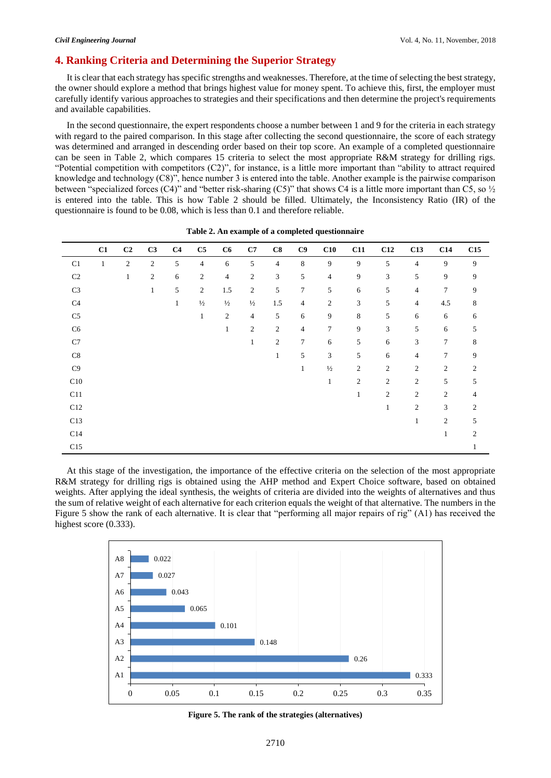# **4. Ranking Criteria and Determining the Superior Strategy**

It is clear that each strategy has specific strengths and weaknesses. Therefore, at the time of selecting the best strategy, the owner should explore a method that brings highest value for money spent. To achieve this, first, the employer must carefully identify various approaches to strategies and their specifications and then determine the project's requirements and available capabilities.

In the second questionnaire, the expert respondents choose a number between 1 and 9 for the criteria in each strategy with regard to the paired comparison. In this stage after collecting the second questionnaire, the score of each strategy was determined and arranged in descending order based on their top score. An example of a completed questionnaire can be seen in Table 2, which compares 15 criteria to select the most appropriate R&M strategy for drilling rigs. "Potential competition with competitors (C2)", for instance, is a little more important than "ability to attract required knowledge and technology (C8)", hence number 3 is entered into the table. Another example is the pairwise comparison between "specialized forces (C4)" and "better risk-sharing (C5)" that shows C4 is a little more important than C5, so  $\frac{1}{2}$ is entered into the table. This is how Table 2 should be filled. Ultimately, the Inconsistency Ratio (IR) of the questionnaire is found to be 0.08, which is less than 0.1 and therefore reliable.

|                | C1           | C <sub>2</sub> | C3               | C <sub>4</sub> | $\mathbf{C5}$    | C6             | C7             | C8             | C9             | C10              | C11                         | C12            | C13              | C14            | C15            |
|----------------|--------------|----------------|------------------|----------------|------------------|----------------|----------------|----------------|----------------|------------------|-----------------------------|----------------|------------------|----------------|----------------|
| C1             | $\mathbf{1}$ | $\mathfrak{2}$ | $\boldsymbol{2}$ | 5              | $\overline{4}$   | 6              | 5              | $\overline{4}$ | 8              | 9                | 9                           | 5              | 4                | 9              | 9              |
| C <sub>2</sub> |              | $\mathbf{1}$   | 2                | 6              | $\sqrt{2}$       | $\overline{4}$ | $\mathfrak{2}$ | 3              | 5              | $\overline{4}$   | 9                           | 3              | 5                | 9              | 9              |
| $\rm C3$       |              |                | $\mathbf{1}$     | 5              | $\boldsymbol{2}$ | 1.5            | $\overline{c}$ | 5              | $\tau$         | 5                | 6                           | 5              | 4                | $\overline{7}$ | 9              |
| C <sub>4</sub> |              |                |                  | $\mathbf{1}$   | $\frac{1}{2}$    | $\frac{1}{2}$  | $\frac{1}{2}$  | 1.5            | $\overline{4}$ | $\boldsymbol{2}$ | $\ensuremath{\mathfrak{Z}}$ | $5\,$          | $\overline{4}$   | 4.5            | 8              |
| $\rm{C5}$      |              |                |                  |                | $\mathbf{1}$     | $\mathfrak{2}$ | $\overline{4}$ | 5              | 6              | 9                | 8                           | 5              | 6                | 6              | 6              |
| ${\rm C6}$     |              |                |                  |                |                  | $\mathbf{1}$   | $\mathfrak{2}$ | $\mathfrak{2}$ | $\overline{4}$ | $\tau$           | 9                           | 3              | 5                | 6              | 5              |
| $\rm C7$       |              |                |                  |                |                  |                | $\mathbf{1}$   | $\sqrt{2}$     | $\tau$         | 6                | 5                           | 6              | 3                | 7              | 8              |
| $\mbox{C}8$    |              |                |                  |                |                  |                |                | 1              | 5              | 3                | 5                           | 6              | 4                | $\overline{7}$ | 9              |
| C9             |              |                |                  |                |                  |                |                |                | $\mathbf{1}$   | $\frac{1}{2}$    | $\mathfrak{2}$              | $\overline{2}$ | $\overline{c}$   | $\overline{2}$ | $\overline{c}$ |
| $\rm C10$      |              |                |                  |                |                  |                |                |                |                | $\mathbf{1}$     | $\mathbf{2}$                | $\overline{2}$ | $\mathbf{2}$     | 5              | 5              |
| C11            |              |                |                  |                |                  |                |                |                |                |                  | $\mathbf{1}$                | $\sqrt{2}$     | $\boldsymbol{2}$ | 2              | 4              |
| C12            |              |                |                  |                |                  |                |                |                |                |                  |                             | $\mathbf{1}$   | $\overline{c}$   | 3              | 2              |
| C13            |              |                |                  |                |                  |                |                |                |                |                  |                             |                | $\mathbf{1}$     | $\overline{c}$ | 5              |
| C14            |              |                |                  |                |                  |                |                |                |                |                  |                             |                |                  | 1              | $\mathfrak{2}$ |
| C15            |              |                |                  |                |                  |                |                |                |                |                  |                             |                |                  |                |                |

**Table 2. An example of a completed questionnaire**

At this stage of the investigation, the importance of the effective criteria on the selection of the most appropriate R&M strategy for drilling rigs is obtained using the AHP method and Expert Choice software, based on obtained weights. After applying the ideal synthesis, the weights of criteria are divided into the weights of alternatives and thus the sum of relative weight of each alternative for each criterion equals the weight of that alternative. The numbers in the Figure 5 show the rank of each alternative. It is clear that "performing all major repairs of rig" (A1) has received the highest score  $(0.333)$ .



**Figure 5. The rank of the strategies (alternatives)**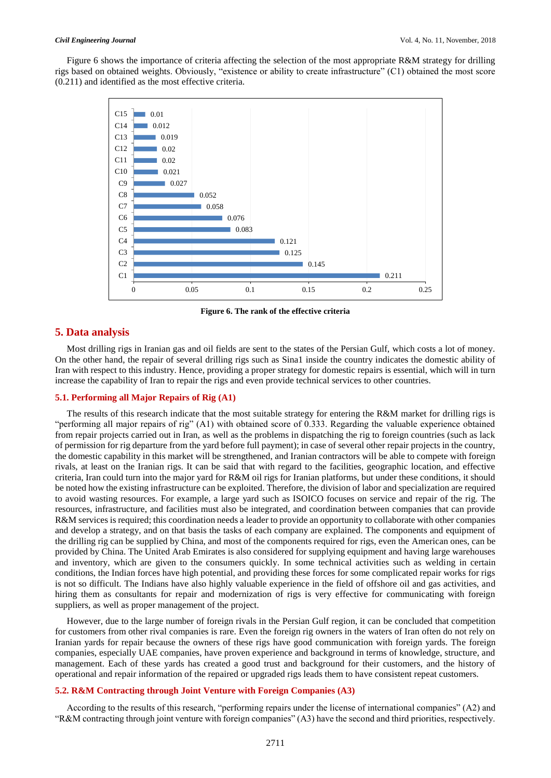Figure 6 shows the importance of criteria affecting the selection of the most appropriate R&M strategy for drilling rigs based on obtained weights. Obviously, "existence or ability to create infrastructure" (C1) obtained the most score (0.211) and identified as the most effective criteria.



**Figure 6. The rank of the effective criteria**

# **5. Data analysis**

Most drilling rigs in Iranian gas and oil fields are sent to the states of the Persian Gulf, which costs a lot of money. On the other hand, the repair of several drilling rigs such as Sina1 inside the country indicates the domestic ability of Iran with respect to this industry. Hence, providing a proper strategy for domestic repairs is essential, which will in turn increase the capability of Iran to repair the rigs and even provide technical services to other countries.

### **5.1. Performing all Major Repairs of Rig (A1)**

The results of this research indicate that the most suitable strategy for entering the R&M market for drilling rigs is "performing all major repairs of rig" (A1) with obtained score of 0.333. Regarding the valuable experience obtained from repair projects carried out in Iran, as well as the problems in dispatching the rig to foreign countries (such as lack of permission for rig departure from the yard before full payment); in case of several other repair projects in the country, the domestic capability in this market will be strengthened, and Iranian contractors will be able to compete with foreign rivals, at least on the Iranian rigs. It can be said that with regard to the facilities, geographic location, and effective criteria, Iran could turn into the major yard for R&M oil rigs for Iranian platforms, but under these conditions, it should be noted how the existing infrastructure can be exploited. Therefore, the division of labor and specialization are required to avoid wasting resources. For example, a large yard such as ISOICO focuses on service and repair of the rig. The resources, infrastructure, and facilities must also be integrated, and coordination between companies that can provide R&M services is required; this coordination needs a leader to provide an opportunity to collaborate with other companies and develop a strategy, and on that basis the tasks of each company are explained. The components and equipment of the drilling rig can be supplied by China, and most of the components required for rigs, even the American ones, can be provided by China. The United Arab Emirates is also considered for supplying equipment and having large warehouses and inventory, which are given to the consumers quickly. In some technical activities such as welding in certain conditions, the Indian forces have high potential, and providing these forces for some complicated repair works for rigs is not so difficult. The Indians have also highly valuable experience in the field of offshore oil and gas activities, and hiring them as consultants for repair and modernization of rigs is very effective for communicating with foreign suppliers, as well as proper management of the project.

However, due to the large number of foreign rivals in the Persian Gulf region, it can be concluded that competition for customers from other rival companies is rare. Even the foreign rig owners in the waters of Iran often do not rely on Iranian yards for repair because the owners of these rigs have good communication with foreign yards. The foreign companies, especially UAE companies, have proven experience and background in terms of knowledge, structure, and management. Each of these yards has created a good trust and background for their customers, and the history of operational and repair information of the repaired or upgraded rigs leads them to have consistent repeat customers.

### **5.2. R&M Contracting through Joint Venture with Foreign Companies (A3)**

According to the results of this research, "performing repairs under the license of international companies" (A2) and "R&M contracting through joint venture with foreign companies" (A3) have the second and third priorities, respectively.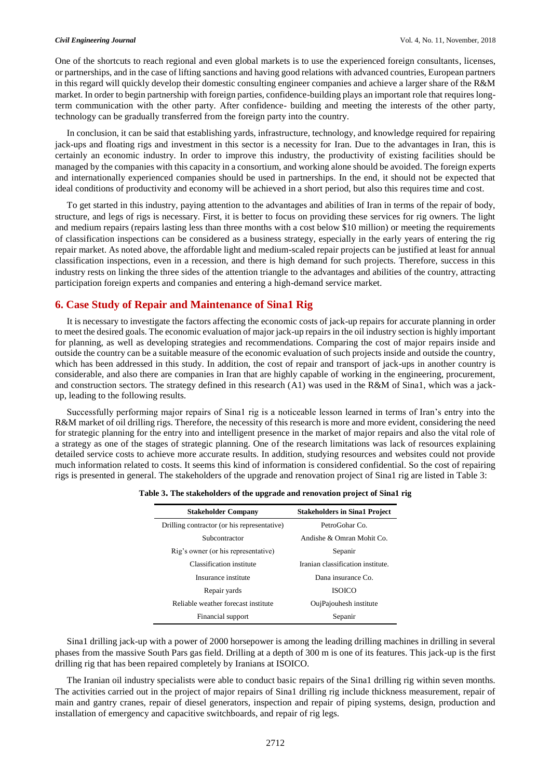One of the shortcuts to reach regional and even global markets is to use the experienced foreign consultants, licenses, or partnerships, and in the case of lifting sanctions and having good relations with advanced countries, European partners in this regard will quickly develop their domestic consulting engineer companies and achieve a larger share of the R&M market. In order to begin partnership with foreign parties, confidence-building plays an important role that requires longterm communication with the other party. After confidence- building and meeting the interests of the other party, technology can be gradually transferred from the foreign party into the country.

In conclusion, it can be said that establishing yards, infrastructure, technology, and knowledge required for repairing jack-ups and floating rigs and investment in this sector is a necessity for Iran. Due to the advantages in Iran, this is certainly an economic industry. In order to improve this industry, the productivity of existing facilities should be managed by the companies with this capacity in a consortium, and working alone should be avoided. The foreign experts and internationally experienced companies should be used in partnerships. In the end, it should not be expected that ideal conditions of productivity and economy will be achieved in a short period, but also this requires time and cost.

To get started in this industry, paying attention to the advantages and abilities of Iran in terms of the repair of body, structure, and legs of rigs is necessary. First, it is better to focus on providing these services for rig owners. The light and medium repairs (repairs lasting less than three months with a cost below \$10 million) or meeting the requirements of classification inspections can be considered as a business strategy, especially in the early years of entering the rig repair market. As noted above, the affordable light and medium-scaled repair projects can be justified at least for annual classification inspections, even in a recession, and there is high demand for such projects. Therefore, success in this industry rests on linking the three sides of the attention triangle to the advantages and abilities of the country, attracting participation foreign experts and companies and entering a high-demand service market.

# **6. Case Study of Repair and Maintenance of Sina1 Rig**

It is necessary to investigate the factors affecting the economic costs of jack-up repairs for accurate planning in order to meet the desired goals. The economic evaluation of major jack-up repairs in the oil industry section is highly important for planning, as well as developing strategies and recommendations. Comparing the cost of major repairs inside and outside the country can be a suitable measure of the economic evaluation of such projects inside and outside the country, which has been addressed in this study. In addition, the cost of repair and transport of jack-ups in another country is considerable, and also there are companies in Iran that are highly capable of working in the engineering, procurement, and construction sectors. The strategy defined in this research (A1) was used in the R&M of Sina1, which was a jackup, leading to the following results.

Successfully performing major repairs of Sina1 rig is a noticeable lesson learned in terms of Iran's entry into the R&M market of oil drilling rigs. Therefore, the necessity of this research is more and more evident, considering the need for strategic planning for the entry into and intelligent presence in the market of major repairs and also the vital role of a strategy as one of the stages of strategic planning. One of the research limitations was lack of resources explaining detailed service costs to achieve more accurate results. In addition, studying resources and websites could not provide much information related to costs. It seems this kind of information is considered confidential. So the cost of repairing rigs is presented in general. The stakeholders of the upgrade and renovation project of Sina1 rig are listed in Table 3:

| <b>Stakeholder Company</b>                  | <b>Stakeholders in Sina1 Project</b> |
|---------------------------------------------|--------------------------------------|
| Drilling contractor (or his representative) | PetroGohar Co.                       |
| Subcontractor                               | Andishe & Omran Mohit Co.            |
| Rig's owner (or his representative)         | Sepanir                              |
| Classification institute                    | Iranian classification institute.    |
| Insurance institute                         | Dana insurance Co.                   |
| Repair yards                                | <b>ISOICO</b>                        |
| Reliable weather forecast institute         | OujPajouhesh institute               |
| Financial support                           | Sepanir                              |

**Table 3. The stakeholders of the upgrade and renovation project of Sina1 rig**

Sina1 drilling jack-up with a power of 2000 horsepower is among the leading drilling machines in drilling in several phases from the massive South Pars gas field. Drilling at a depth of 300 m is one of its features. This jack-up is the first drilling rig that has been repaired completely by Iranians at ISOICO.

The Iranian oil industry specialists were able to conduct basic repairs of the Sina1 drilling rig within seven months. The activities carried out in the project of major repairs of Sina1 drilling rig include thickness measurement, repair of main and gantry cranes, repair of diesel generators, inspection and repair of piping systems, design, production and installation of emergency and capacitive switchboards, and repair of rig legs.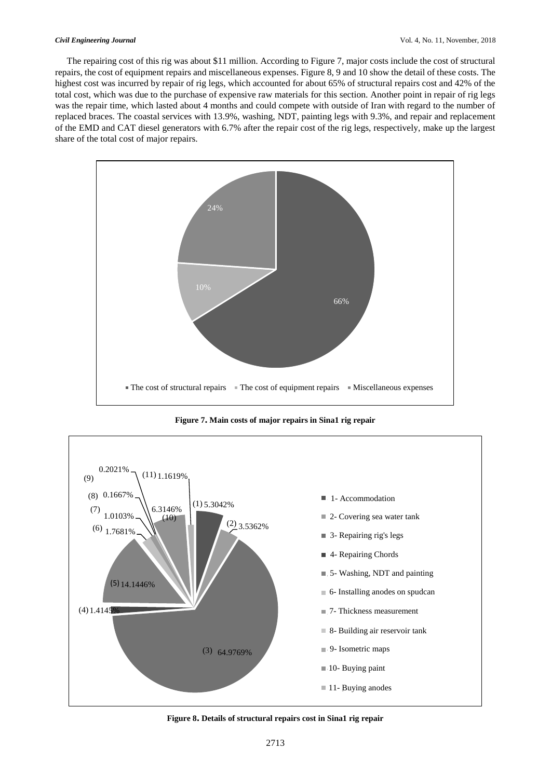The repairing cost of this rig was about \$11 million. According to Figure 7, major costs include the cost of structural repairs, the cost of equipment repairs and miscellaneous expenses. Figure 8, 9 and 10 show the detail of these costs. The highest cost was incurred by repair of rig legs, which accounted for about 65% of structural repairs cost and 42% of the total cost, which was due to the purchase of expensive raw materials for this section. Another point in repair of rig legs was the repair time, which lasted about 4 months and could compete with outside of Iran with regard to the number of replaced braces. The coastal services with 13.9%, washing, NDT, painting legs with 9.3%, and repair and replacement of the EMD and CAT diesel generators with 6.7% after the repair cost of the rig legs, respectively, make up the largest share of the total cost of major repairs.



**Figure 7. Main costs of major repairs in Sina1 rig repair**



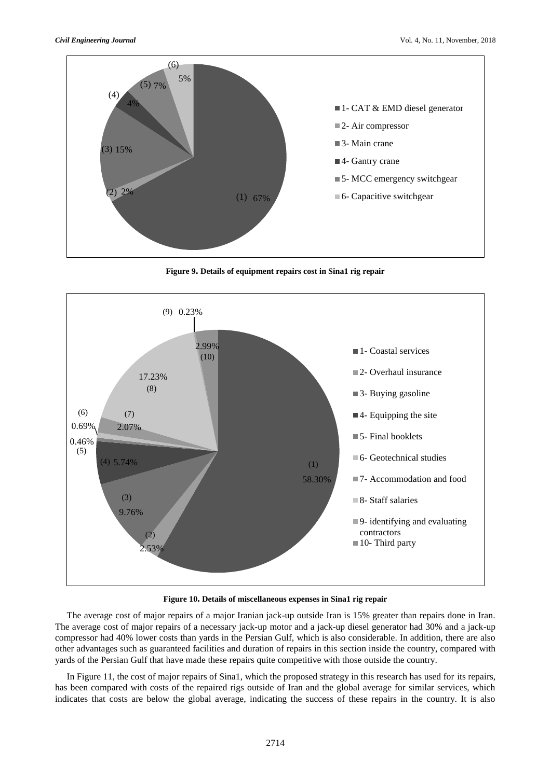

**Figure 9. Details of equipment repairs cost in Sina1 rig repair**



**Figure 10. Details of miscellaneous expenses in Sina1 rig repair**

The average cost of major repairs of a major Iranian jack-up outside Iran is 15% greater than repairs done in Iran. The average cost of major repairs of a necessary jack-up motor and a jack-up diesel generator had 30% and a jack-up compressor had 40% lower costs than yards in the Persian Gulf, which is also considerable. In addition, there are also other advantages such as guaranteed facilities and duration of repairs in this section inside the country, compared with yards of the Persian Gulf that have made these repairs quite competitive with those outside the country.

In Figure 11, the cost of major repairs of Sina1, which the proposed strategy in this research has used for its repairs, has been compared with costs of the repaired rigs outside of Iran and the global average for similar services, which indicates that costs are below the global average, indicating the success of these repairs in the country. It is also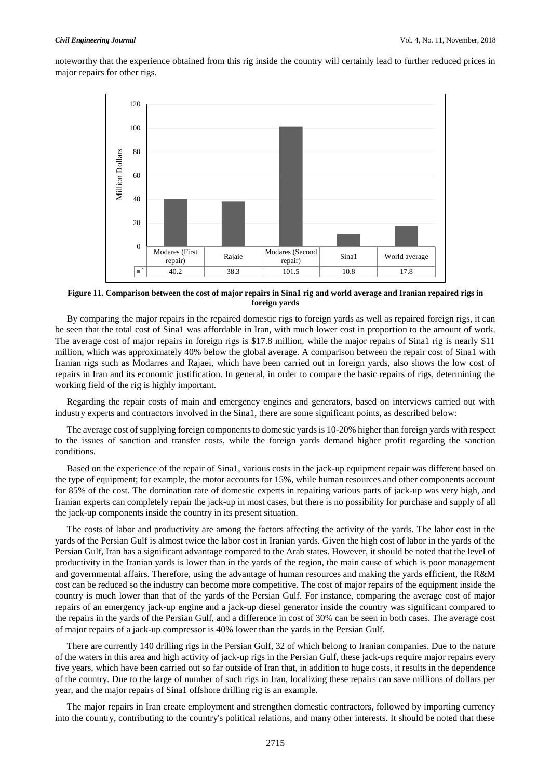noteworthy that the experience obtained from this rig inside the country will certainly lead to further reduced prices in major repairs for other rigs.



**Figure 11. Comparison between the cost of major repairs in Sina1 rig and world average and Iranian repaired rigs in foreign yards**

By comparing the major repairs in the repaired domestic rigs to foreign yards as well as repaired foreign rigs, it can be seen that the total cost of Sina1 was affordable in Iran, with much lower cost in proportion to the amount of work. The average cost of major repairs in foreign rigs is \$17.8 million, while the major repairs of Sina1 rig is nearly \$11 million, which was approximately 40% below the global average. A comparison between the repair cost of Sina1 with Iranian rigs such as Modarres and Rajaei, which have been carried out in foreign yards, also shows the low cost of repairs in Iran and its economic justification. In general, in order to compare the basic repairs of rigs, determining the working field of the rig is highly important.

Regarding the repair costs of main and emergency engines and generators, based on interviews carried out with industry experts and contractors involved in the Sina1, there are some significant points, as described below:

The average cost of supplying foreign components to domestic yards is 10-20% higher than foreign yards with respect to the issues of sanction and transfer costs, while the foreign yards demand higher profit regarding the sanction conditions.

Based on the experience of the repair of Sina1, various costs in the jack-up equipment repair was different based on the type of equipment; for example, the motor accounts for 15%, while human resources and other components account for 85% of the cost. The domination rate of domestic experts in repairing various parts of jack-up was very high, and Iranian experts can completely repair the jack-up in most cases, but there is no possibility for purchase and supply of all the jack-up components inside the country in its present situation.

The costs of labor and productivity are among the factors affecting the activity of the yards. The labor cost in the yards of the Persian Gulf is almost twice the labor cost in Iranian yards. Given the high cost of labor in the yards of the Persian Gulf, Iran has a significant advantage compared to the Arab states. However, it should be noted that the level of productivity in the Iranian yards is lower than in the yards of the region, the main cause of which is poor management and governmental affairs. Therefore, using the advantage of human resources and making the yards efficient, the R&M cost can be reduced so the industry can become more competitive. The cost of major repairs of the equipment inside the country is much lower than that of the yards of the Persian Gulf. For instance, comparing the average cost of major repairs of an emergency jack-up engine and a jack-up diesel generator inside the country was significant compared to the repairs in the yards of the Persian Gulf, and a difference in cost of 30% can be seen in both cases. The average cost of major repairs of a jack-up compressor is 40% lower than the yards in the Persian Gulf.

There are currently 140 drilling rigs in the Persian Gulf, 32 of which belong to Iranian companies. Due to the nature of the waters in this area and high activity of jack-up rigs in the Persian Gulf, these jack-ups require major repairs every five years, which have been carried out so far outside of Iran that, in addition to huge costs, it results in the dependence of the country. Due to the large of number of such rigs in Iran, localizing these repairs can save millions of dollars per year, and the major repairs of Sina1 offshore drilling rig is an example.

The major repairs in Iran create employment and strengthen domestic contractors, followed by importing currency into the country, contributing to the country's political relations, and many other interests. It should be noted that these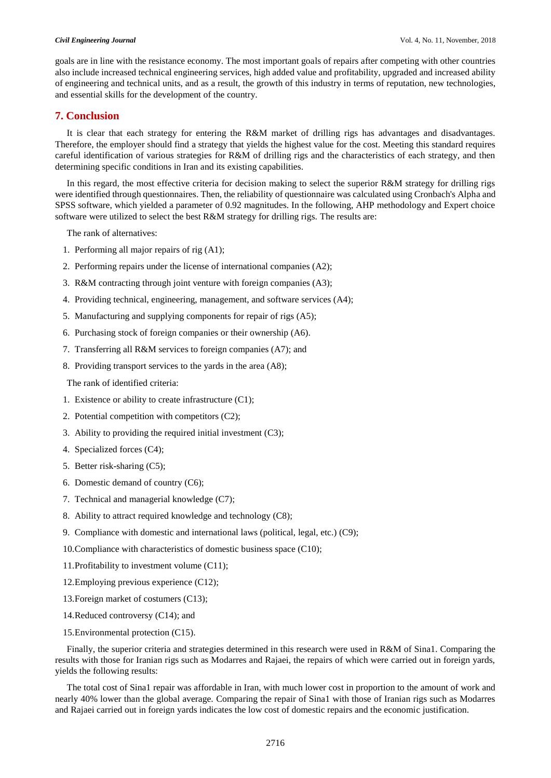goals are in line with the resistance economy. The most important goals of repairs after competing with other countries also include increased technical engineering services, high added value and profitability, upgraded and increased ability of engineering and technical units, and as a result, the growth of this industry in terms of reputation, new technologies, and essential skills for the development of the country.

# **7. Conclusion**

It is clear that each strategy for entering the R&M market of drilling rigs has advantages and disadvantages. Therefore, the employer should find a strategy that yields the highest value for the cost. Meeting this standard requires careful identification of various strategies for R&M of drilling rigs and the characteristics of each strategy, and then determining specific conditions in Iran and its existing capabilities.

In this regard, the most effective criteria for decision making to select the superior R&M strategy for drilling rigs were identified through questionnaires. Then, the reliability of questionnaire was calculated using Cronbach's Alpha and SPSS software, which yielded a parameter of 0.92 magnitudes. In the following, AHP methodology and Expert choice software were utilized to select the best R&M strategy for drilling rigs. The results are:

The rank of alternatives:

- 1. Performing all major repairs of rig (A1);
- 2. Performing repairs under the license of international companies (A2);
- 3. R&M contracting through joint venture with foreign companies (A3);
- 4. Providing technical, engineering, management, and software services (A4);
- 5. Manufacturing and supplying components for repair of rigs (A5);
- 6. Purchasing stock of foreign companies or their ownership (A6).
- 7. Transferring all R&M services to foreign companies (A7); and
- 8. Providing transport services to the yards in the area (A8);

The rank of identified criteria:

- 1. Existence or ability to create infrastructure (C1);
- 2. Potential competition with competitors (C2);
- 3. Ability to providing the required initial investment (C3);
- 4. Specialized forces (C4);
- 5. Better risk-sharing (C5);
- 6. Domestic demand of country (C6);
- 7. Technical and managerial knowledge (C7);
- 8. Ability to attract required knowledge and technology (C8);
- 9. Compliance with domestic and international laws (political, legal, etc.) (C9);
- 10.Compliance with characteristics of domestic business space (C10);
- 11.Profitability to investment volume (C11);
- 12.Employing previous experience (C12);
- 13.Foreign market of costumers (C13);
- 14.Reduced controversy (C14); and
- 15.Environmental protection (C15).

Finally, the superior criteria and strategies determined in this research were used in R&M of Sina1. Comparing the results with those for Iranian rigs such as Modarres and Rajaei, the repairs of which were carried out in foreign yards, yields the following results:

The total cost of Sina1 repair was affordable in Iran, with much lower cost in proportion to the amount of work and nearly 40% lower than the global average. Comparing the repair of Sina1 with those of Iranian rigs such as Modarres and Rajaei carried out in foreign yards indicates the low cost of domestic repairs and the economic justification.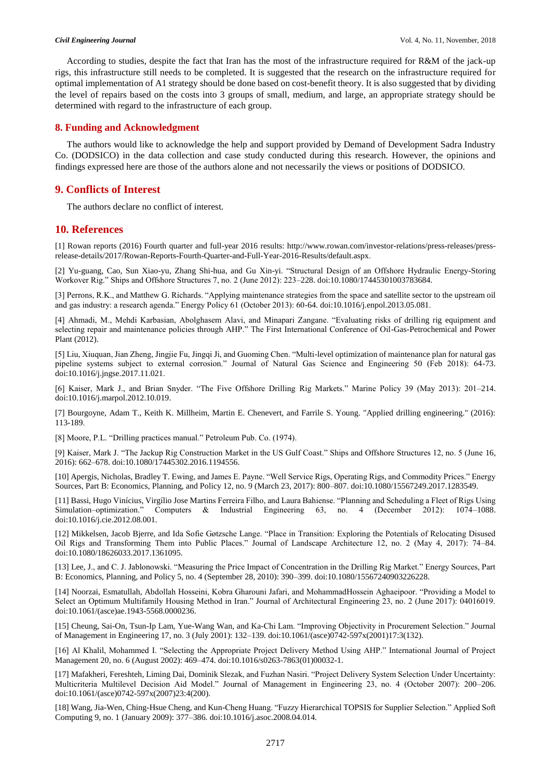According to studies, despite the fact that Iran has the most of the infrastructure required for R&M of the jack-up rigs, this infrastructure still needs to be completed. It is suggested that the research on the infrastructure required for optimal implementation of A1 strategy should be done based on cost-benefit theory. It is also suggested that by dividing the level of repairs based on the costs into 3 groups of small, medium, and large, an appropriate strategy should be determined with regard to the infrastructure of each group.

## **8. Funding and Acknowledgment**

The authors would like to acknowledge the help and support provided by Demand of Development Sadra Industry Co. (DODSICO) in the data collection and case study conducted during this research. However, the opinions and findings expressed here are those of the authors alone and not necessarily the views or positions of DODSICO.

# **9. Conflicts of Interest**

The authors declare no conflict of interest.

# **10. References**

[1] Rowan reports (2016) Fourth quarter and full-year 2016 results: http://www.rowan.com/investor-relations/press-releases/pressrelease-details/2017/Rowan-Reports-Fourth-Quarter-and-Full-Year-2016-Results/default.aspx.

[2] Yu-guang, Cao, Sun Xiao-yu, Zhang Shi-hua, and Gu Xin-yi. "Structural Design of an Offshore Hydraulic Energy-Storing Workover Rig." Ships and Offshore Structures 7, no. 2 (June 2012): 223–228. doi:10.1080/17445301003783684.

[3] Perrons, R.K., and Matthew G. Richards. "Applying maintenance strategies from the space and satellite sector to the upstream oil and gas industry: a research agenda." Energy Policy 61 (October 2013): 60-64. doi:10.1016/j.enpol.2013.05.081.

[4] Ahmadi, M., Mehdi Karbasian, Abolghasem Alavi, and Minapari Zangane. "Evaluating risks of drilling rig equipment and selecting repair and maintenance policies through AHP." The First International Conference of Oil-Gas-Petrochemical and Power Plant (2012).

[5] Liu, Xiuquan, Jian Zheng, Jingjie Fu, Jingqi Ji, and Guoming Chen. "Multi-level optimization of maintenance plan for natural gas pipeline systems subject to external corrosion." Journal of Natural Gas Science and Engineering 50 (Feb 2018): 64-73. doi:10.1016/j.jngse.2017.11.021.

[6] Kaiser, Mark J., and Brian Snyder. "The Five Offshore Drilling Rig Markets." Marine Policy 39 (May 2013): 201–214. doi:10.1016/j.marpol.2012.10.019.

[7] Bourgoyne, Adam T., Keith K. Millheim, Martin E. Chenevert, and Farrile S. Young. "Applied drilling engineering." (2016): 113-189.

[8] Moore, P.L. "Drilling practices manual." Petroleum Pub. Co. (1974).

[9] Kaiser, Mark J. "The Jackup Rig Construction Market in the US Gulf Coast." Ships and Offshore Structures 12, no. 5 (June 16, 2016): 662–678. doi:10.1080/17445302.2016.1194556.

[10] Apergis, Nicholas, Bradley T. Ewing, and James E. Payne. "Well Service Rigs, Operating Rigs, and Commodity Prices." Energy Sources, Part B: Economics, Planning, and Policy 12, no. 9 (March 23, 2017): 800–807. doi:10.1080/15567249.2017.1283549.

[11] Bassi, Hugo Vinícius, Virgílio Jose Martins Ferreira Filho, and Laura Bahiense. "Planning and Scheduling a Fleet of Rigs Using Simulation–optimization." Computers & Industrial Engineering 63, no. 4 (December 2012): 1074–1088. doi:10.1016/j.cie.2012.08.001.

[12] Mikkelsen, Jacob Bjerre, and Ida Sofie Gøtzsche Lange. "Place in Transition: Exploring the Potentials of Relocating Disused Oil Rigs and Transforming Them into Public Places." Journal of Landscape Architecture 12, no. 2 (May 4, 2017): 74–84. doi:10.1080/18626033.2017.1361095.

[13] Lee, J., and C. J. Jablonowski. "Measuring the Price Impact of Concentration in the Drilling Rig Market." Energy Sources, Part B: Economics, Planning, and Policy 5, no. 4 (September 28, 2010): 390–399. doi:10.1080/15567240903226228.

[14] Noorzai, Esmatullah, Abdollah Hosseini, Kobra Gharouni Jafari, and MohammadHossein Aghaeipoor. "Providing a Model to Select an Optimum Multifamily Housing Method in Iran." Journal of Architectural Engineering 23, no. 2 (June 2017): 04016019. doi:10.1061/(asce)ae.1943-5568.0000236.

[15] Cheung, Sai-On, Tsun-Ip Lam, Yue-Wang Wan, and Ka-Chi Lam. "Improving Objectivity in Procurement Selection." Journal of Management in Engineering 17, no. 3 (July 2001): 132–139. doi:10.1061/(asce)0742-597x(2001)17:3(132).

[16] Al Khalil, Mohammed I. "Selecting the Appropriate Project Delivery Method Using AHP." International Journal of Project Management 20, no. 6 (August 2002): 469–474. doi:10.1016/s0263-7863(01)00032-1.

[17] Mafakheri, Fereshteh, Liming Dai, Dominik Slezak, and Fuzhan Nasiri. "Project Delivery System Selection Under Uncertainty: Multicriteria Multilevel Decision Aid Model." Journal of Management in Engineering 23, no. 4 (October 2007): 200–206. doi:10.1061/(asce)0742-597x(2007)23:4(200).

[18] Wang, Jia-Wen, Ching-Hsue Cheng, and Kun-Cheng Huang. "Fuzzy Hierarchical TOPSIS for Supplier Selection." Applied Soft Computing 9, no. 1 (January 2009): 377–386. doi:10.1016/j.asoc.2008.04.014.